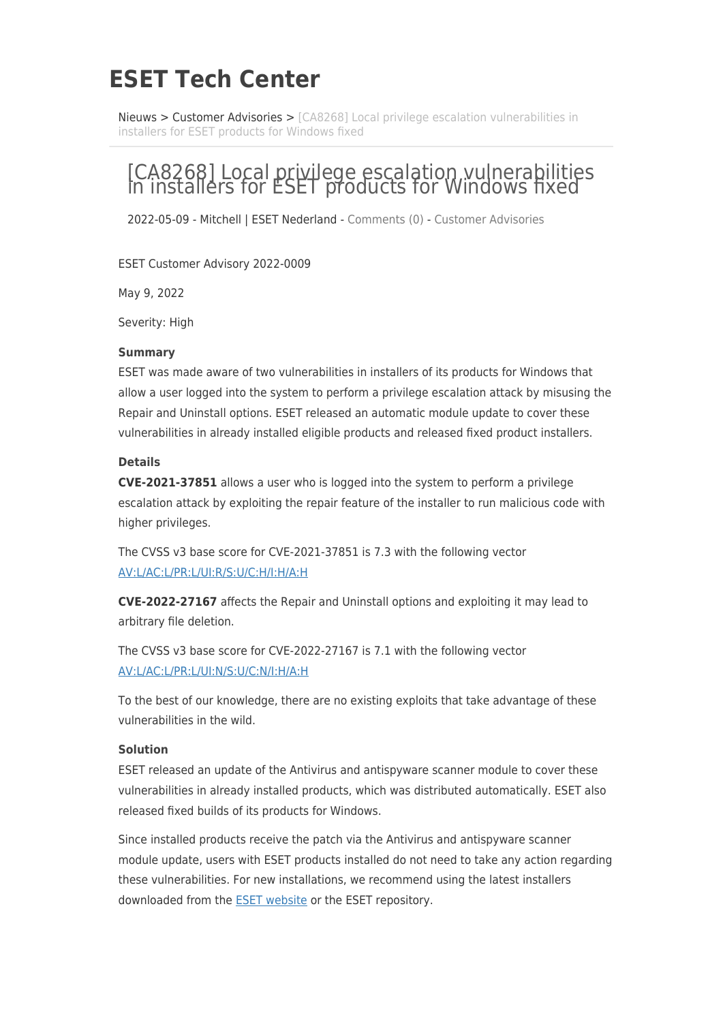# **ESET Tech Center**

[Nieuws](https://techcenter.eset.nl/nl/news) > [Customer Advisories](https://techcenter.eset.nl/nl/news/customer-advisories) > [\[CA8268\] Local privilege escalation vulnerabilities in](https://techcenter.eset.nl/nl/news/posts/ca8268-local-privilege-escalation-vulnerabilities-in-installers-for-eset-products-for-windows-) [installers for ESET products for Windows fixed](https://techcenter.eset.nl/nl/news/posts/ca8268-local-privilege-escalation-vulnerabilities-in-installers-for-eset-products-for-windows-)

# [CA8268] Local privilege escalation vulnerabilities in installers for ESET products for Windows fixed

2022-05-09 - Mitchell | ESET Nederland - [Comments \(0\)](#page--1-0) - [Customer Advisories](https://techcenter.eset.nl/nl/news/customer-advisories)

ESET Customer Advisory 2022-0009

May 9, 2022

Severity: High

#### **Summary**

ESET was made aware of two vulnerabilities in installers of its products for Windows that allow a user logged into the system to perform a privilege escalation attack by misusing the Repair and Uninstall options. ESET released an automatic module update to cover these vulnerabilities in already installed eligible products and released fixed product installers.

#### **Details**

**CVE-2021-37851** allows a user who is logged into the system to perform a privilege escalation attack by exploiting the repair feature of the installer to run malicious code with higher privileges.

The CVSS v3 base score for CVE-2021-37851 is 7.3 with the following vector [AV:L/AC:L/PR:L/UI:R/S:U/C:H/I:H/A:H](https://nvd.nist.gov/vuln-metrics/cvss/v3-calculator?vector=AV:L/AC:L/PR:L/UI:R/S:U/C:H/I:H/A:H&version=3.1)

**CVE-2022-27167** affects the Repair and Uninstall options and exploiting it may lead to arbitrary file deletion.

The CVSS v3 base score for CVE-2022-27167 is 7.1 with the following vector [AV:L/AC:L/PR:L/UI:N/S:U/C:N/I:H/A:H](https://nvd.nist.gov/vuln-metrics/cvss/v3-calculator?vector=AV:L/AC:L/PR:L/UI:N/S:U/C:N/I:H/A:H&version=3.1)

To the best of our knowledge, there are no existing exploits that take advantage of these vulnerabilities in the wild.

#### **Solution**

ESET released an update of the Antivirus and antispyware scanner module to cover these vulnerabilities in already installed products, which was distributed automatically. ESET also released fixed builds of its products for Windows.

Since installed products receive the patch via the Antivirus and antispyware scanner module update, users with ESET products installed do not need to take any action regarding these vulnerabilities. For new installations, we recommend using the latest installers downloaded from the [ESET website](https://www.eset.com/) or the ESET repository.